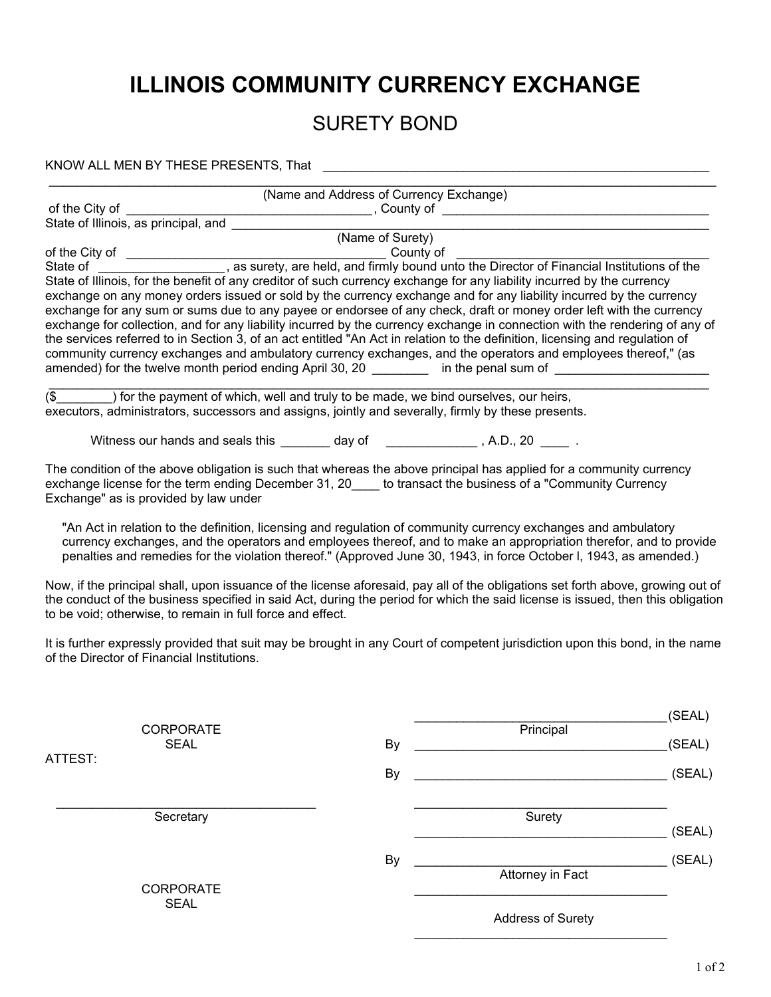## **ILLINOIS COMMUNITY CURRENCY EXCHANGE**

## SURETY BOND

KNOW ALL MEN BY THESE PRESENTS, That \_\_\_\_\_\_\_\_\_\_\_\_\_\_\_\_\_\_\_\_\_\_\_\_\_\_\_\_\_\_\_\_\_\_\_\_\_\_\_\_\_\_\_\_\_\_\_\_\_\_\_\_\_\_\_

|                                 |                                                                                                                                                                                                                                            | (Name and Address of Currency Exchange) |                          |        |
|---------------------------------|--------------------------------------------------------------------------------------------------------------------------------------------------------------------------------------------------------------------------------------------|-----------------------------------------|--------------------------|--------|
|                                 |                                                                                                                                                                                                                                            |                                         |                          |        |
|                                 |                                                                                                                                                                                                                                            |                                         |                          |        |
|                                 |                                                                                                                                                                                                                                            | (Name of Surety)                        |                          |        |
|                                 |                                                                                                                                                                                                                                            |                                         |                          |        |
|                                 | State of Illinois, for the benefit of any creditor of such currency exchange for any liability incurred by the currency                                                                                                                    |                                         |                          |        |
|                                 | exchange on any money orders issued or sold by the currency exchange and for any liability incurred by the currency<br>exchange for any sum or sums due to any payee or endorsee of any check, draft or money order left with the currency |                                         |                          |        |
|                                 | exchange for collection, and for any liability incurred by the currency exchange in connection with the rendering of any of                                                                                                                |                                         |                          |        |
|                                 | the services referred to in Section 3, of an act entitled "An Act in relation to the definition, licensing and regulation of                                                                                                               |                                         |                          |        |
|                                 | community currency exchanges and ambulatory currency exchanges, and the operators and employees thereof," (as                                                                                                                              |                                         |                          |        |
|                                 | amended) for the twelve month period ending April 30, 20 __________ in the penal sum of ____________                                                                                                                                       |                                         |                          |        |
|                                 | (\$) for the payment of which, well and truly to be made, we bind ourselves, our heirs,                                                                                                                                                    |                                         |                          |        |
|                                 | executors, administrators, successors and assigns, jointly and severally, firmly by these presents.                                                                                                                                        |                                         |                          |        |
|                                 |                                                                                                                                                                                                                                            |                                         |                          |        |
|                                 | Witness our hands and seals this ________ day of _______________, A.D., 20 _____.                                                                                                                                                          |                                         |                          |        |
|                                 | The condition of the above obligation is such that whereas the above principal has applied for a community currency<br>exchange license for the term ending December 31, 20____ to transact the business of a "Community Currency          |                                         |                          |        |
|                                 | Exchange" as is provided by law under                                                                                                                                                                                                      |                                         |                          |        |
|                                 | "An Act in relation to the definition, licensing and regulation of community currency exchanges and ambulatory                                                                                                                             |                                         |                          |        |
|                                 | currency exchanges, and the operators and employees thereof, and to make an appropriation therefor, and to provide                                                                                                                         |                                         |                          |        |
|                                 | penalties and remedies for the violation thereof." (Approved June 30, 1943, in force October I, 1943, as amended.)                                                                                                                         |                                         |                          |        |
|                                 | Now, if the principal shall, upon issuance of the license aforesaid, pay all of the obligations set forth above, growing out of                                                                                                            |                                         |                          |        |
|                                 | the conduct of the business specified in said Act, during the period for which the said license is issued, then this obligation                                                                                                            |                                         |                          |        |
|                                 | to be void; otherwise, to remain in full force and effect.                                                                                                                                                                                 |                                         |                          |        |
|                                 | It is further expressly provided that suit may be brought in any Court of competent jurisdiction upon this bond, in the name<br>of the Director of Financial Institutions.                                                                 |                                         |                          |        |
|                                 |                                                                                                                                                                                                                                            |                                         |                          |        |
|                                 |                                                                                                                                                                                                                                            |                                         |                          |        |
|                                 |                                                                                                                                                                                                                                            |                                         |                          | (SEAL) |
|                                 | <b>CORPORATE</b>                                                                                                                                                                                                                           |                                         | Principal                |        |
| ATTEST:                         | SEAL                                                                                                                                                                                                                                       | By                                      |                          | (SEAL) |
|                                 |                                                                                                                                                                                                                                            | By                                      |                          | (SEAL) |
|                                 |                                                                                                                                                                                                                                            |                                         |                          |        |
|                                 |                                                                                                                                                                                                                                            |                                         | Surety                   |        |
|                                 | Secretary                                                                                                                                                                                                                                  |                                         |                          | (SEAL) |
|                                 |                                                                                                                                                                                                                                            |                                         |                          |        |
|                                 |                                                                                                                                                                                                                                            | By                                      |                          | (SEAL) |
| <b>CORPORATE</b><br><b>SEAL</b> |                                                                                                                                                                                                                                            |                                         | <b>Attorney in Fact</b>  |        |
|                                 |                                                                                                                                                                                                                                            |                                         |                          |        |
|                                 |                                                                                                                                                                                                                                            |                                         | <b>Address of Surety</b> |        |
|                                 |                                                                                                                                                                                                                                            |                                         |                          |        |